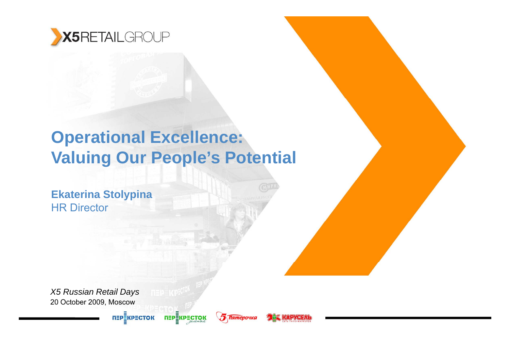

## **Operational Excellence: Valuing Our People's Potential**

**перекресток** 

**5 Пятёрочка** 

L<del>IK</del> MADYGEAN

**Ekaterina Stolypina** HR Director

20 October 2009, Moscow *X5 Russian Retail Days* 

п≡р∰кр≡сток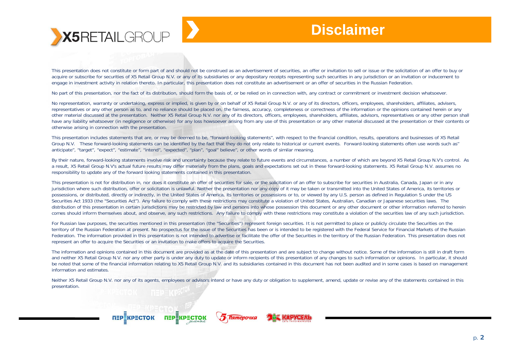

This presentation does not constitute or form part of and should not be construed as an advertisement of securities, an offer or invitation to sell or issue or the solicitation of an offer to buy or acquire or subscribe for securities of X5 Retail Group N.V. or any of its subsidiaries or any depositary receipts representing such securities in any jurisdiction or an invitation or inducement to engage in investment activity in relation thereto. In particular, this presentation does not constitute an advertisement or an offer of securities in the Russian Federation.

No part of this presentation, nor the fact of its distribution, should form the basis of, or be relied on in connection with, any contract or commitment or investment decision whatsoever.

No representation, warranty or undertaking, express or implied, is given by or on behalf of X5 Retail Group N.V. or any of its directors, officers, employees, shareholders, affiliates, advisers, representatives or any other person as to, and no reliance should be placed on, the fairness, accuracy, completeness or correctness of the information or the opinions contained herein or any other material discussed at the presentation. Neither X5 Retail Group N.V. nor any of its directors, officers, employees, shareholders, affiliates, advisors, representatives or any other person shall have any liability whatsoever (in negligence or otherwise) for any loss howsoever arising from any use of this presentation or any other material discussed at the presentation or their contents or otherwise arising in connection with the presentation.

This presentation includes statements that are, or may be deemed to be, "forward-looking statements", with respect to the financial condition, results, operations and businesses of X5 Retail Group N.V. These forward-looking statements can be identified by the fact that they do not only relate to historical or current events. Forward-looking statements often use words such as" anticipate", "target", "expect", "estimate", "intend", "expected", "plan", "goal" believe", or other words of similar meaning.

By their nature, forward-looking statements involve risk and uncertainty because they relate to future events and circumstances, a number of which are beyond X5 Retail Group N.V's control. As a result, X5 Retail Group N.V's actual future results may differ materially from the plans, goals and expectations set out in these forward-looking statements. X5 Retail Group N.V. assumes no responsibility to update any of the forward looking statements contained in this presentation.

This presentation is not for distribution in, nor does it constitute an offer of securities for sale, or the solicitation of an offer to subscribe for securities in Australia, Canada, Japan or in any jurisdiction where such distribution, offer or solicitation is unlawful. Neither the presentation nor any copy of it may be taken or transmitted into the United States of America, its territories or possessions, or distributed, directly or indirectly, in the United States of America, its territories or possessions or to, or viewed by any U.S. person as defined in Regulation S under the US Securities Act 1933 (the "Securities Act"). Any failure to comply with these restrictions may constitute a violation of United States, Australian, Canadian or Japanese securities laws. The distribution of this presentation in certain jurisdictions may be restricted by law and persons into whose possession this document or any other document or other information referred to herein comes should inform themselves about, and observe, any such restrictions. Any failure to comply with these restrictions may constitute a violation of the securities law of any such jurisdiction.

For Russian law purposes, the securities mentioned in this presentation (the "Securities") represent foreign securities. It is not permitted to place or publicly circulate the Securities on the territory of the Russian Federation at present. No prospectus for the issue of the Securities has been or is intended to be registered with the Federal Service for Financial Markets of the Russian Federation. The information provided in this presentation is not intended to advertise or facilitate the offer of the Securities in the territory of the Russian Federation. This presentation does not represent an offer to acquire the Securities or an invitation to make offers to acquire the Securities.

The information and opinions contained in this document are provided as at the date of this presentation and are subject to change without notice. Some of the information is still in draft form and neither X5 Retail Group N.V. nor any other party is under any duty to update or inform recipients of this presentation of any changes to such information or opinions. In particular, it should be noted that some of the financial information relating to X5 Retail Group N.V. and its subsidiaries contained in this document has not been audited and in some cases is based on management information and estimates.

Neither X5 Retail Group N.V. nor any of its agents, employees or advisors intend or have any duty or obligation to supplement, amend, update or revise any of the statements contained in this presentation.

**Пятёрочка** 

**TEP**KPECTOK

**ПЕРЕКРЕСТОК** 

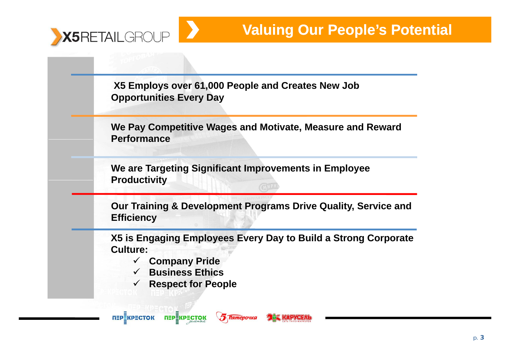

**X5 Employs over 61,000 People and Creates New Job Opportunities Every Day**

**We Pay Competitive Wages and Motivate, Measure and Reward Performance**

**We are Targeting Significant Improvements in Employee Productivity**

**5 Пятёрочка** 

**Our Training & Development Programs Drive Quality, Service and Effi <sup>c</sup> <sup>e</sup> cy i <sup>n</sup>**

**X5 is Engaging Employees Every Day to Build a Strong Corporate Culture:** 

**LAR MARYERAT** 

- $\checkmark$ **Company Pride**
- $\checkmark$ **Business Ethics**
- $\checkmark$ **Respect for People**

**ПЕРЕКРЕСТОК** 

ПЕРЁКРЕСТОК

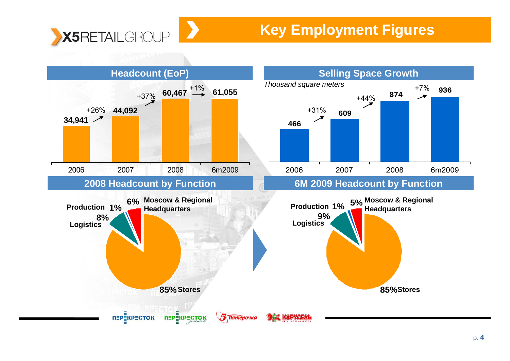

## **Key Employment Figures**

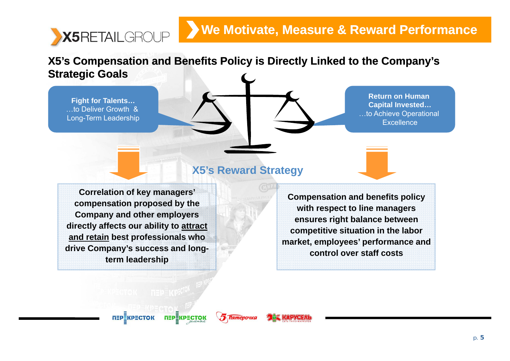### **We Motivate, Measure & Reward Performance**

X5's Compensation and Benefits Policy is Directly Linked to the Company's **Strategic Goals**

…to Deliver Growth & Long-Term Leadership

X5RETAILGROUP

**ht**<br> **Fight** for Talents… **Capital Invested…** …to Achieve Operational **Excellence** 

#### **X5's Reward Strategy**

**Correlation of key managers' compensation proposed by the Company and other employers ensures right balance between directly affects our ability to attract and retain best professionals who drive Company's success and longterm leadership**

**Compensation and benefits policy with respect to line managers**  ensures right balance between **competitive situation in the labor market, employees' performance and control over staff costs**

**5 Пятёрочка** 

**ПЕРЁКРЕСТОК**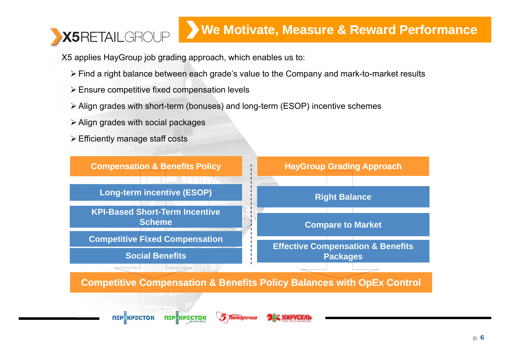# X5RETAILGROUP

## **We Motivate, Measure & Reward Performance**

X5 applies HayGroup job grading approach, which enables us to:

- ¾ Find a right balance between each grade's value to the Company and mark-to-market results
- $\triangleright$  Ensure competitive fixed compensation levels
- ¾ Align grades with short-term (bonuses) and long-term (ESOP) incentive schemes
- $\triangleright$  Align grades with social packages
- $\triangleright$  Efficiently manage staff costs

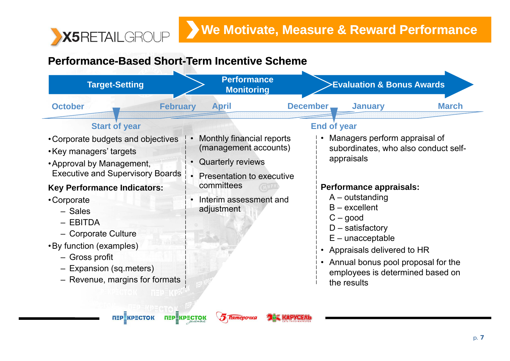

#### Performance-Based Short-Term Incentive Scheme

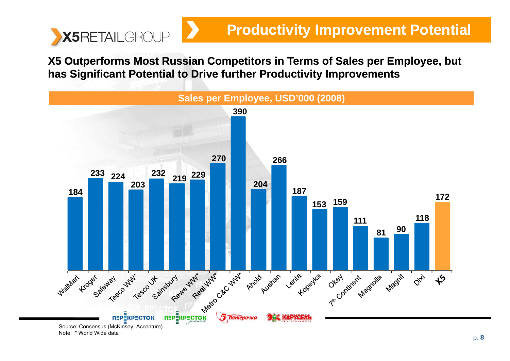

X5 Outperforms Most Russian Competitors in Terms of Sales per Employee, but **has Significant Potential to Drive further Productivity Improvements**

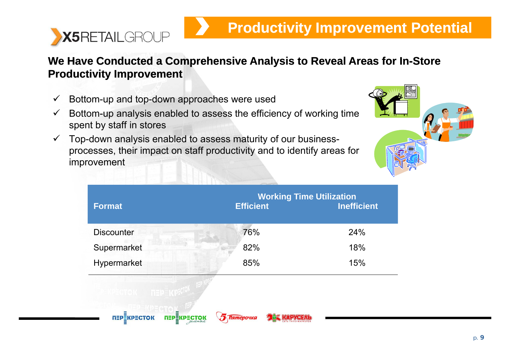

#### We Have Conducted a Comprehensive Analysis to Reveal Areas for In-Store **Productivity Improvement**

- $\checkmark$  $\checkmark$  Bottom-up and top-down approaches were used
- $\checkmark$  Bottom-up analysis enabled to assess the efficiency of working time spent by staff in stores
- $\checkmark$ Top-down analysis enabled to assess maturity of our businessprocesses, their impact on staff productivity and to identify areas for improvement



| <b>Format</b>                                                      | <b>Efficient</b>                        | <b>Working Time Utilization</b><br><b>Inefficient</b> |
|--------------------------------------------------------------------|-----------------------------------------|-------------------------------------------------------|
| <b>Discounter</b>                                                  | 76%                                     | 24%                                                   |
| Supermarket                                                        | 82%                                     | 18%                                                   |
| Hypermarket                                                        | 85%                                     | 15%                                                   |
| <b>THE PERCIPECTOR</b><br><b>ПЕРЕКРЕСТОК</b><br><b>перекресток</b> | <b>THE MAPYGEAL</b><br><b>Пятёрочка</b> |                                                       |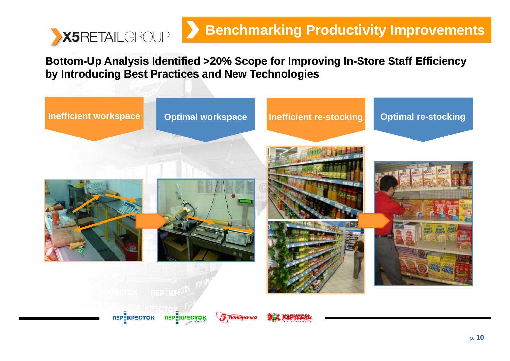

Bottom-Up Analysis Identified >20% Scope for Improving In-Store Staff Efficiency **by Introducing Best Practices and New Technologies**

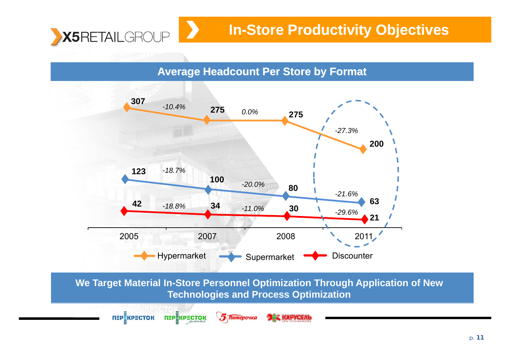

**ПЕРЕКРЕСТОК** 

**ПЕРЕКРЕСТОК** 

## **In-Store Productivity Objectives**

**Average Headcount Per Store by Format**



**We Target Material In-Store Personnel Optimization Through Application of New Technologies and Process Optimization**

**THE RAPYCEAL** 

**5 Пятёрочка**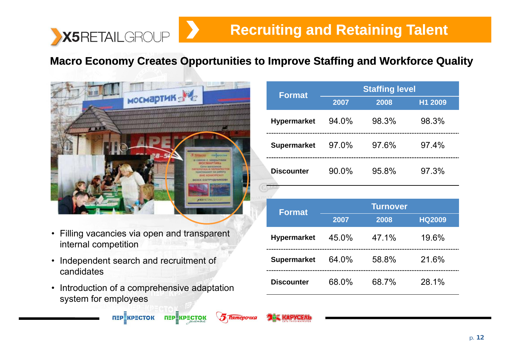

## **Recruiting and Retaining Talent**

#### Macro Economy Creates Opportunities to Improve Staffing and Workforce Quality



- Filling vacancies via open and transparent internal competition
- Independent search and recruitment of **Supermarket**<br>
candidates<br>
Discounter candidates
- Introduction of a comprehensive adaptation system for employees

| <b>Format</b>      | <b>Staffing level</b> |       |         |  |
|--------------------|-----------------------|-------|---------|--|
|                    | 2007                  | 2008  | H1 2009 |  |
| <b>Hypermarket</b> | 94.0%                 | 98.3% | 98.3%   |  |
| <b>Supermarket</b> | 97.0%                 | 97.6% | 97.4%   |  |
| <b>Discounter</b>  | 90.0%                 | 95.8% | 97.3%   |  |

| <b>Format</b>      |       | <b>Turnover</b> |               |
|--------------------|-------|-----------------|---------------|
|                    | 2007  | 2008            | <b>HQ2009</b> |
| <b>Hypermarket</b> | 45.0% | 47.1%           | 19.6%         |
| <b>Supermarket</b> | 64.0% | 58.8%           | 21.6%         |
| <b>Discounter</b>  | 68.0% | 68.7%           | 28.1%         |



L<del>W</del> MARYERA

**5 Пятёрочка**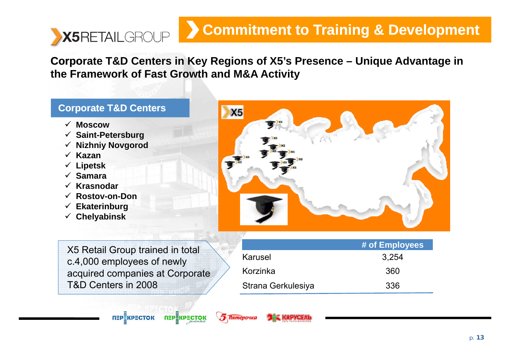#### **Commitment to Training & Development** X5RETAILGROUP

Corporate T&D Centers in Key Regions of X5's Presence – Unique Advantage in **the Framework of Fast Growth and M&A Activity**

#### **Corporate T&D Centers**

- 9 **Moscow**
- 9 **Saint-Petersburg**
- 9 **Nizhniy Novgorod**
- 9 **Kazan**
- 9 **Lipetsk**
- 9 **Samara**
- 9 **Krasnodar**
- 9 **Rostov-on-Don**
- 9 **Ekaterinburg**
- 9 **Chelyabinsk**



X5 Retail Group trained in total c.4,000 employees of newly acquired companies at Corporate T&D Centers in 2008

п≡р≣кр≡сток

**ПЕРЕКРЕСТОК** 

**5 Пятёрочка** 

|                    | # of Employees |
|--------------------|----------------|
| Karusel            | 3.254          |
| Korzinka           | 360            |
| Strana Gerkulesiya | 336            |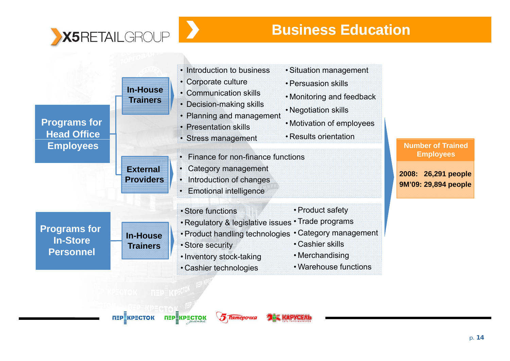

 $\epsilon$  or  $\epsilon$  or  $\epsilon$  or  $\epsilon$  or  $\epsilon$  or  $\epsilon$  or  $\epsilon$  or  $\epsilon$  or  $\epsilon$  or  $\epsilon$  or  $\epsilon$  or  $\epsilon$  or  $\epsilon$  or  $\epsilon$  or  $\epsilon$  or  $\epsilon$  or  $\epsilon$  or  $\epsilon$  or  $\epsilon$  or  $\epsilon$  or  $\epsilon$  or  $\epsilon$  or  $\epsilon$  or  $\epsilon$  or  $\epsilon$  or  $\epsilon$  or  $\epsilon$  or  $\epsilon$ 

| <b>Programs for</b><br><b>Head Office</b>                  | <b>In-House</b><br><b>Trainers</b>  | • Introduction to business<br>• Corporate culture<br>• Communication skills<br>• Decision-making skills<br>• Planning and management<br>• Presentation skills<br>• Stress management                       | · Situation management<br>• Persuasion skills<br>• Monitoring and feedback<br>• Negotiation skills<br>• Motivation of employees<br>• Results orientation |                                                                                             |
|------------------------------------------------------------|-------------------------------------|------------------------------------------------------------------------------------------------------------------------------------------------------------------------------------------------------------|----------------------------------------------------------------------------------------------------------------------------------------------------------|---------------------------------------------------------------------------------------------|
| <b>Employees</b>                                           | <b>External</b><br><b>Providers</b> | Finance for non-finance functions<br>Category management<br>$\bullet$<br>• Introduction of changes<br><b>Emotional intelligence</b>                                                                        |                                                                                                                                                          | <b>Number of Trained</b><br><b>Employees</b><br>2008: 26,291 people<br>9M'09: 29,894 people |
| <b>Programs for</b><br><b>In-Store</b><br><b>Personnel</b> | <b>In-House</b><br><b>Trainers</b>  | • Store functions<br>. Regulatory & legislative issues . Trade programs<br>• Product handling technologies • Category management<br>• Store security<br>• Inventory stock-taking<br>• Cashier technologies | • Product safety<br>• Cashier skills<br>• Merchandising<br>• Warehouse functions                                                                         |                                                                                             |
|                                                            | <b>TIEPEKPECTOK</b>                 | <u>Иятёроч</u>                                                                                                                                                                                             |                                                                                                                                                          |                                                                                             |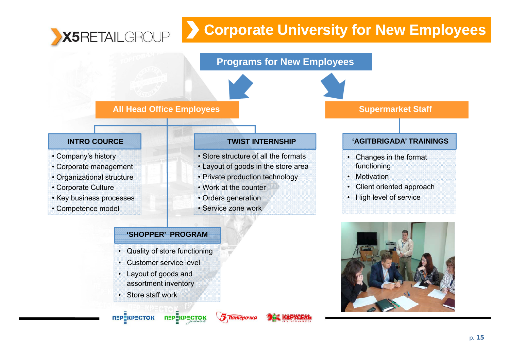#### **Corporate University for New Employees**  X5RETAILGROUP



#### **'SHOPPER' PROGRAM**

• Quality of store functioning

**ПЕРЕКРЕСТОК** 

**5 Пятёрочка** 

- •Customer service level
- • Layout of goods and assortment inventory
- Store staff work

п≡р≣кр≡сток

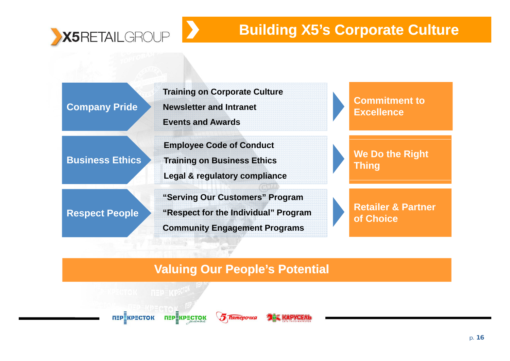

## **Building X5's Corporate Culture**

**Training on Corporate Culture Commitment to Company Pride Newsletter and Intranet Events and AwardsExcellence Business EthicsEXAMPLE STATE IS A Training on Business Ethics A Thing We Do the Right Thing Employee Code of Conduct Training on Business Ethics Le gal & re gulator y compliance g gy Respect People • "Respect for the Individual" Program The Retailer & Partner "Serving Our Customers" Program Community Engagement Programs**

#### **Valuing Our People's Potential**

**MEDEKPECTOK NEPEKPECTOK** 

**Material** 

**5 Пятёрочка**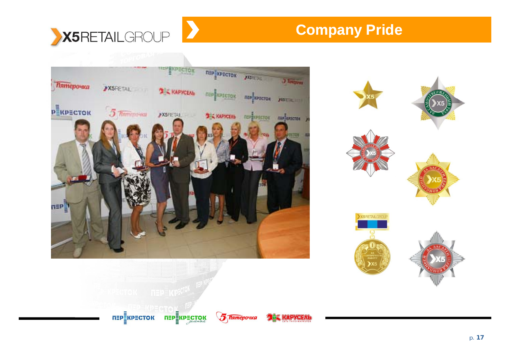

## **Company Pride**





TEP KPECTOK TEP KPECTOK

**5 Пятёрочка** 

*<b>DER KAPYCEAL*